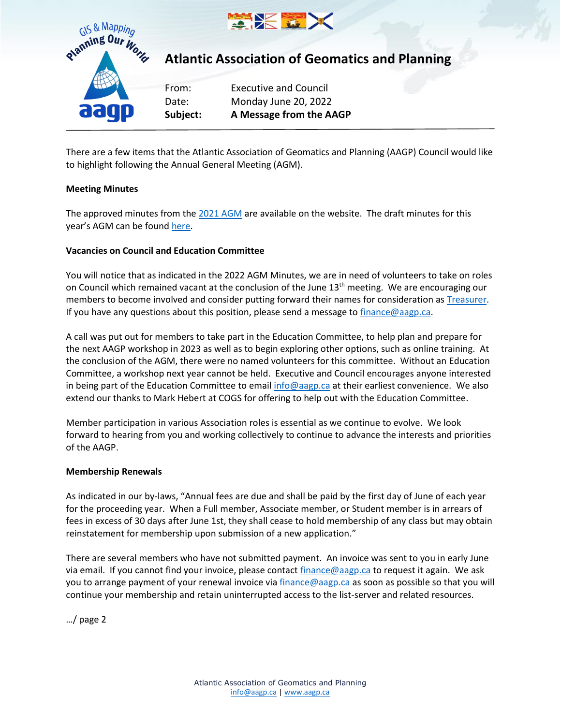



## **Atlantic Association of Geomatics and Planning**

From: Executive and Council Date: Monday June 20, 2022 **Subject: A Message from the AAGP**

There are a few items that the Atlantic Association of Geomatics and Planning (AAGP) Council would like to highlight following the Annual General Meeting (AGM).

## **Meeting Minutes**

The approved minutes from the 2021 AGM are available on the website. The draft minutes for this year's AGM can be found here.

### **Vacancies on Council and Education Committee**

You will notice that as indicated in the 2022 AGM Minutes, we are in need of volunteers to take on roles on Council which remained vacant at the conclusion of the June 13<sup>th</sup> meeting. We are encouraging our members to become involved and consider putting forward their names for consideration as Treasurer. If you have any questions about this position, please send a message to finance  $\omega$  aagp.ca.

A call was put out for members to take part in the Education Committee, to help plan and prepare for the next AAGP workshop in 2023 as well as to begin exploring other options, such as online training. At the conclusion of the AGM, there were no named volunteers for this committee. Without an Education Committee, a workshop next year cannot be held. Executive and Council encourages anyone interested in being part of the Education Committee to email info@aagp.ca at their earliest convenience. We also extend our thanks to Mark Hebert at COGS for offering to help out with the Education Committee.

Member participation in various Association roles is essential as we continue to evolve. We look forward to hearing from you and working collectively to continue to advance the interests and priorities of the AAGP.

#### **Membership Renewals**

As indicated in our by-laws, "Annual fees are due and shall be paid by the first day of June of each year for the proceeding year. When a Full member, Associate member, or Student member is in arrears of fees in excess of 30 days after June 1st, they shall cease to hold membership of any class but may obtain reinstatement for membership upon submission of a new application."

There are several members who have not submitted payment. An invoice was sent to you in early June via email. If you cannot find your invoice, please contact finance@aagp.ca to request it again. We ask you to arrange payment of your renewal invoice via finance@aagp.ca as soon as possible so that you will continue your membership and retain uninterrupted access to the list-server and related resources.

…/ page 2